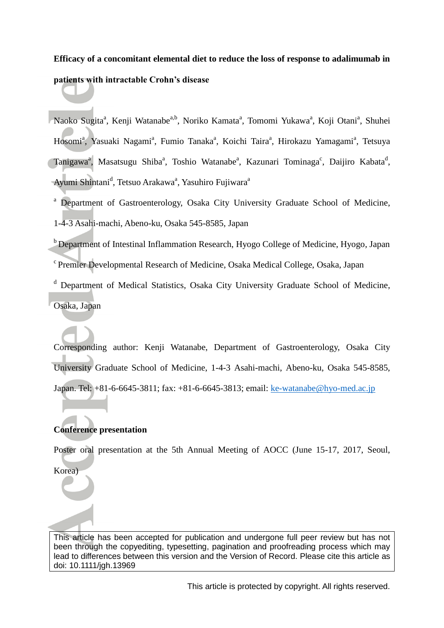# **Efficacy of a concomitant elemental diet to reduce the loss of response to adalimumab in patients with intractable Crohn's disease**

Naoko Sugita<sup>a</sup>, Kenji Watanabe<sup>a,b</sup>, Noriko Kamata<sup>a</sup>, Tomomi Yukawa<sup>a</sup>, Koji Otani<sup>a</sup>, Shuhei Hosomi<sup>a</sup>, Yasuaki Nagami<sup>a</sup>, Fumio Tanaka<sup>a</sup>, Koichi Taira<sup>a</sup>, Hirokazu Yamagami<sup>a</sup>, Tetsuya Tanigawa<sup>a</sup>, Masatsugu Shiba<sup>a</sup>, Toshio Watanabe<sup>a</sup>, Kazunari Tominaga<sup>c</sup>, Daijiro Kabata<sup>d</sup>, Ayumi Shintani<sup>d</sup>, Tetsuo Arakawa<sup>a</sup>, Yasuhiro Fujiwara<sup>a</sup>

<sup>a</sup> Department of Gastroenterology, Osaka City University Graduate School of Medicine, 1-4-3 Asahi-machi, Abeno-ku, Osaka 545-8585, Japan

 $<sup>b</sup>$  Department of Intestinal Inflammation Research, Hyogo College of Medicine, Hyogo, Japan</sup> <sup>c</sup> Premier Developmental Research of Medicine, Osaka Medical College, Osaka, Japan

<sup>d</sup> Department of Medical Statistics, Osaka City University Graduate School of Medicine, Osaka, Japan

Corresponding author: Kenji Watanabe, Department of Gastroenterology, Osaka City University Graduate School of Medicine, 1-4-3 Asahi-machi, Abeno-ku, Osaka 545-8585, Japan. Tel: +81-6-6645-3811; fax: +81-6-6645-3813; email: [ke-watanabe@hyo-med.ac.jp](mailto:ke-watanabe@hyo-med.ac.jp)

## **Conference presentation**

Poster oral presentation at the 5th Annual Meeting of AOCC (June 15-17, 2017, Seoul,

Korea)

This article has been accepted for publication and undergone full peer review but has not been through the copyediting, typesetting, pagination and proofreading process which may lead to differences between this version and the Version of Record. Please cite this article as doi: 10.1111/jgh.13969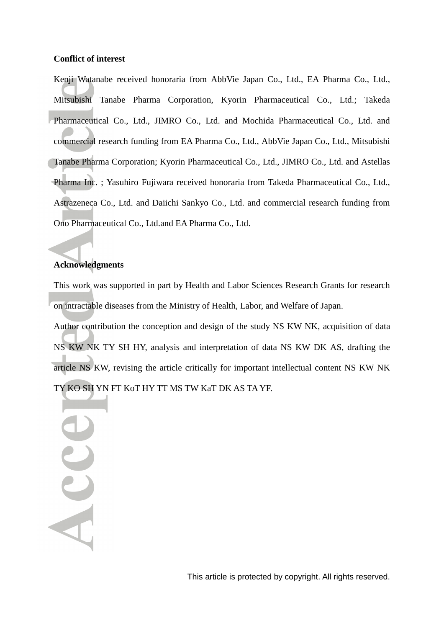#### **Conflict of interest**

Kenji Watanabe received honoraria from AbbVie Japan Co., Ltd., EA Pharma Co., Ltd., Mitsubishi Tanabe Pharma Corporation, Kyorin Pharmaceutical Co., Ltd.; Takeda Pharmaceutical Co., Ltd., JIMRO Co., Ltd. and Mochida Pharmaceutical Co., Ltd. and commercial research funding from EA Pharma Co., Ltd., AbbVie Japan Co., Ltd., Mitsubishi Tanabe Pharma Corporation; Kyorin Pharmaceutical Co., Ltd., JIMRO Co., Ltd. and Astellas Pharma Inc. ; Yasuhiro Fujiwara received honoraria from Takeda Pharmaceutical Co., Ltd., Astrazeneca Co., Ltd. and Daiichi Sankyo Co., Ltd. and commercial research funding from Ono Pharmaceutical Co., Ltd.and EA Pharma Co., Ltd.

## **Acknowledgments**

This work was supported in part by Health and Labor Sciences Research Grants for research on intractable diseases from the Ministry of Health, Labor, and Welfare of Japan.

Author contribution the conception and design of the study NS KW NK, acquisition of data NS KW NK TY SH HY, analysis and interpretation of data NS KW DK AS, drafting the article NS KW, revising the article critically for important intellectual content NS KW NK TY KO SH YN FT KoT HY TT MS TW KaT DK AS TA YF.

Acce

This article is protected by copyright. All rights reserved.